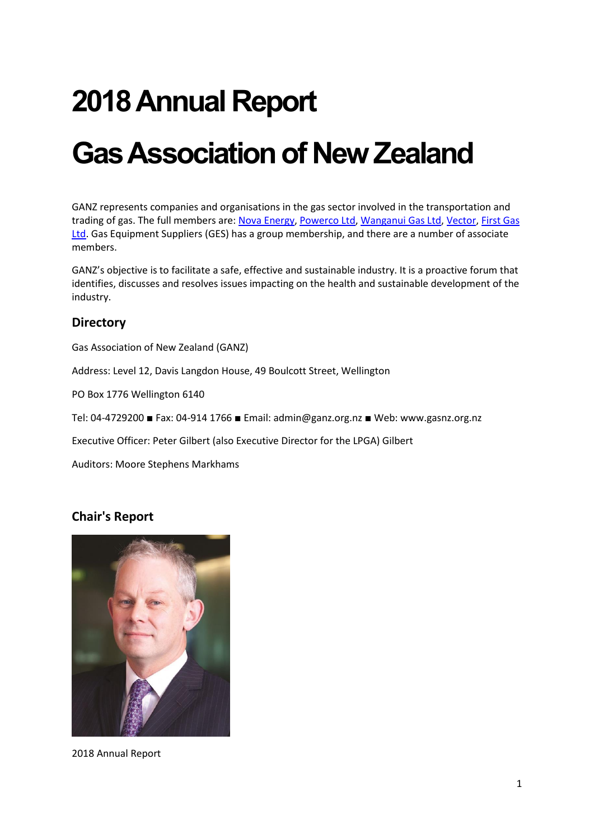# **2018Annual Report**

# **Gas Association of New Zealand**

GANZ represents companies and organisations in the gas sector involved in the transportation and trading of gas. The full members are: [Nova Energy,](https://www.novaenergy.co.nz/) [Powerco Ltd,](http://www.powerco.co.nz/) [Wanganui Gas Ltd,](http://www.wanganuigas.co.nz/) [Vector,](https://vector.co.nz/) First Gas [Ltd.](http://firstgas.co.nz/) Gas Equipment Suppliers (GES) has a group membership, and there are a number of associate members.

GANZ's objective is to facilitate a safe, effective and sustainable industry. It is a proactive forum that identifies, discusses and resolves issues impacting on the health and sustainable development of the industry.

#### **Directory**

Gas Association of New Zealand (GANZ)

Address: Level 12, Davis Langdon House, 49 Boulcott Street, Wellington

PO Box 1776 Wellington 6140

Tel: 04-4729200 ■ Fax: 04-914 1766 ■ Email: admin@ganz.org.nz ■ Web: www.gasnz.org.nz

Executive Officer: Peter Gilbert (also Executive Director for the LPGA) Gilbert

Auditors: Moore Stephens Markhams

#### **Chair's Report**



2018 Annual Report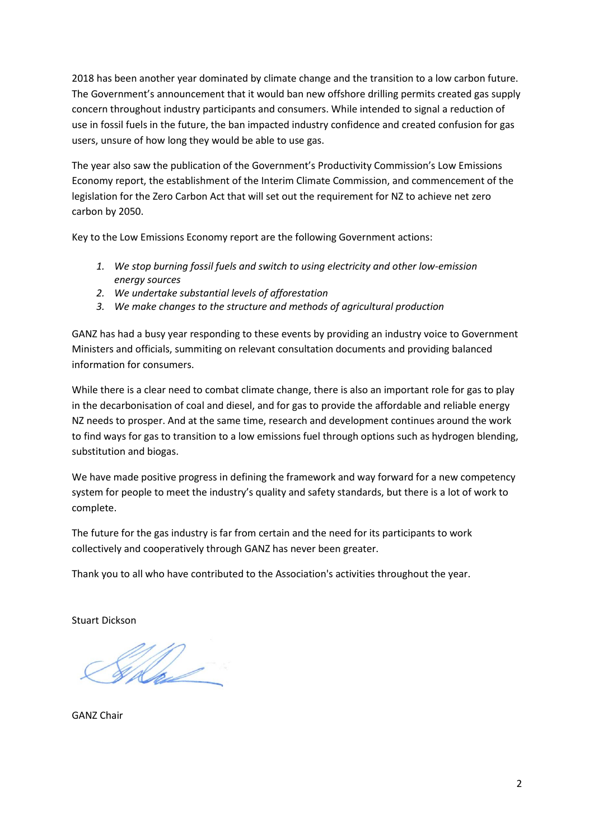2018 has been another year dominated by climate change and the transition to a low carbon future. The Government's announcement that it would ban new offshore drilling permits created gas supply concern throughout industry participants and consumers. While intended to signal a reduction of use in fossil fuels in the future, the ban impacted industry confidence and created confusion for gas users, unsure of how long they would be able to use gas.

The year also saw the publication of the Government's Productivity Commission's Low Emissions Economy report, the establishment of the Interim Climate Commission, and commencement of the legislation for the Zero Carbon Act that will set out the requirement for NZ to achieve net zero carbon by 2050.

Key to the Low Emissions Economy report are the following Government actions:

- *1. We stop burning fossil fuels and switch to using electricity and other low-emission energy sources*
- *2. We undertake substantial levels of afforestation*
- *3. We make changes to the structure and methods of agricultural production*

GANZ has had a busy year responding to these events by providing an industry voice to Government Ministers and officials, summiting on relevant consultation documents and providing balanced information for consumers.

While there is a clear need to combat climate change, there is also an important role for gas to play in the decarbonisation of coal and diesel, and for gas to provide the affordable and reliable energy NZ needs to prosper. And at the same time, research and development continues around the work to find ways for gas to transition to a low emissions fuel through options such as hydrogen blending, substitution and biogas.

We have made positive progress in defining the framework and way forward for a new competency system for people to meet the industry's quality and safety standards, but there is a lot of work to complete.

The future for the gas industry is far from certain and the need for its participants to work collectively and cooperatively through GANZ has never been greater.

Thank you to all who have contributed to the Association's activities throughout the year.

Stuart Dickson

US 10

GANZ Chair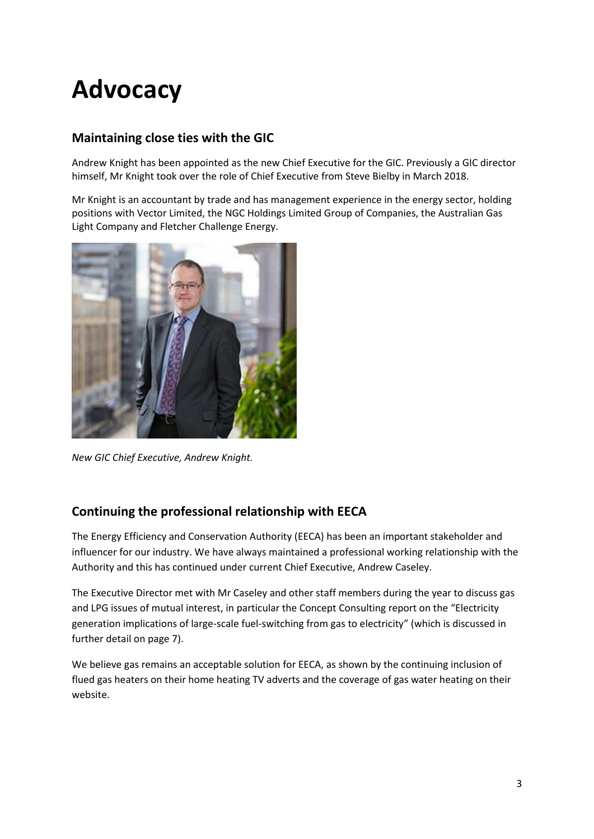# **Advocacy**

# **Maintaining close ties with the GIC**

Andrew Knight has been appointed as the new Chief Executive for the GIC. Previously a GIC director himself, Mr Knight took over the role of Chief Executive from Steve Bielby in March 2018.

Mr Knight is an accountant by trade and has management experience in the energy sector, holding positions with Vector Limited, the NGC Holdings Limited Group of Companies, the Australian Gas Light Company and Fletcher Challenge Energy.



*New GIC Chief Executive, Andrew Knight.*

# **Continuing the professional relationship with EECA**

The Energy Efficiency and Conservation Authority (EECA) has been an important stakeholder and influencer for our industry. We have always maintained a professional working relationship with the Authority and this has continued under current Chief Executive, Andrew Caseley.

The Executive Director met with Mr Caseley and other staff members during the year to discuss gas and LPG issues of mutual interest, in particular the Concept Consulting report on the "Electricity generation implications of large-scale fuel-switching from gas to electricity" (which is discussed in further detail on page 7).

We believe gas remains an acceptable solution for EECA, as shown by the continuing inclusion of flued gas heaters on their home heating TV adverts and the coverage of gas water heating on their website.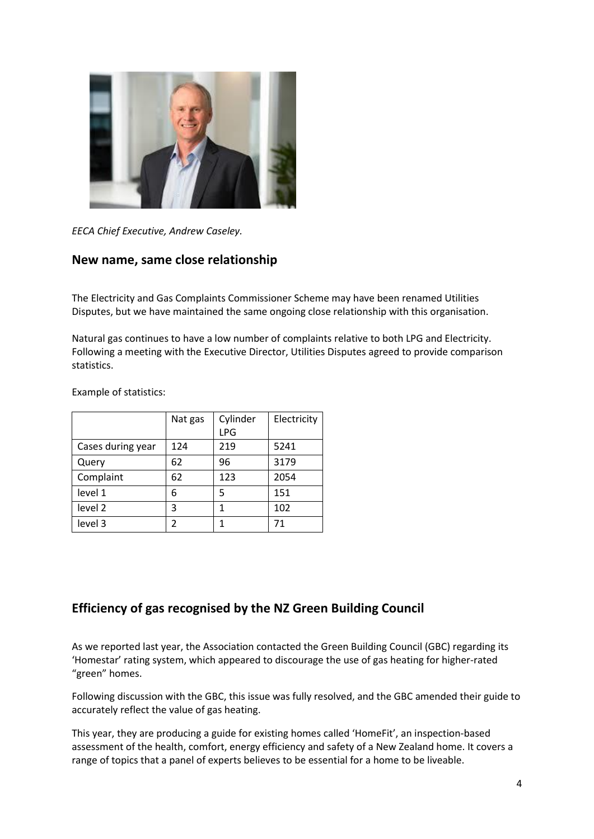

*EECA Chief Executive, Andrew Caseley.*

#### **New name, same close relationship**

The Electricity and Gas Complaints Commissioner Scheme may have been renamed Utilities Disputes, but we have maintained the same ongoing close relationship with this organisation.

Natural gas continues to have a low number of complaints relative to both LPG and Electricity. Following a meeting with the Executive Director, Utilities Disputes agreed to provide comparison statistics.

Example of statistics:

|                   | Nat gas | Cylinder | Electricity |
|-------------------|---------|----------|-------------|
|                   |         | LPG      |             |
| Cases during year | 124     | 219      | 5241        |
| Query             | 62      | 96       | 3179        |
| Complaint         | 62      | 123      | 2054        |
| level 1           | 6       | 5        | 151         |
| level 2           | 3       | 1        | 102         |
| level 3           | 2       | 1        | 71          |

#### **Efficiency of gas recognised by the NZ Green Building Council**

As we reported last year, the Association contacted the Green Building Council (GBC) regarding its 'Homestar' rating system, which appeared to discourage the use of gas heating for higher-rated "green" homes.

Following discussion with the GBC, this issue was fully resolved, and the GBC amended their guide to accurately reflect the value of gas heating.

This year, they are producing a guide for existing homes called 'HomeFit', an inspection-based assessment of the health, comfort, energy efficiency and safety of a New Zealand home. It covers a range of topics that a panel of experts believes to be essential for a home to be liveable.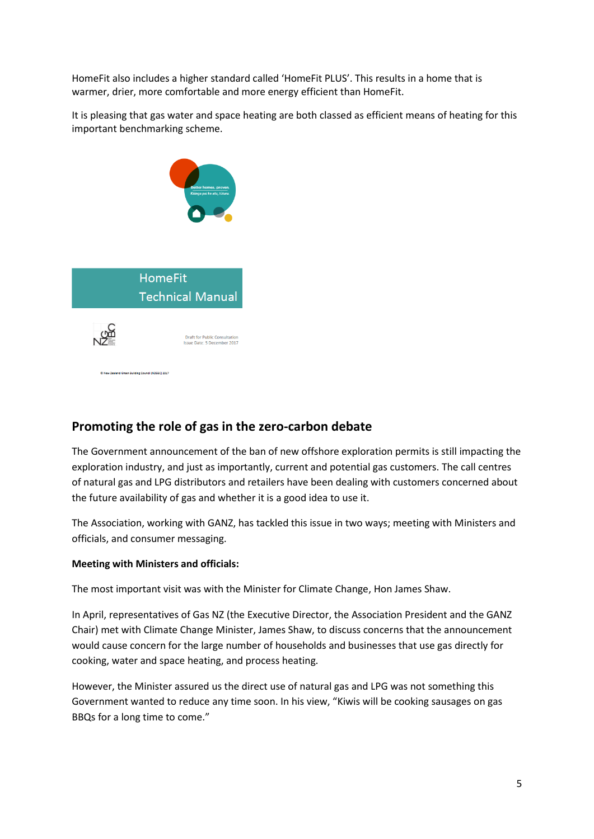HomeFit also includes a higher standard called 'HomeFit PLUS'. This results in a home that is warmer, drier, more comfortable and more energy efficient than HomeFit.

It is pleasing that gas water and space heating are both classed as efficient means of heating for this important benchmarking scheme.



#### **Promoting the role of gas in the zero-carbon debate**

The Government announcement of the ban of new offshore exploration permits is still impacting the exploration industry, and just as importantly, current and potential gas customers. The call centres of natural gas and LPG distributors and retailers have been dealing with customers concerned about the future availability of gas and whether it is a good idea to use it.

The Association, working with GANZ, has tackled this issue in two ways; meeting with Ministers and officials, and consumer messaging.

#### **Meeting with Ministers and officials:**

The most important visit was with the Minister for Climate Change, Hon James Shaw.

In April, representatives of Gas NZ (the Executive Director, the Association President and the GANZ Chair) met with Climate Change Minister, James Shaw, to discuss concerns that the announcement would cause concern for the large number of households and businesses that use gas directly for cooking, water and space heating, and process heating.

However, the Minister assured us the direct use of natural gas and LPG was not something this Government wanted to reduce any time soon. In his view, "Kiwis will be cooking sausages on gas BBQs for a long time to come."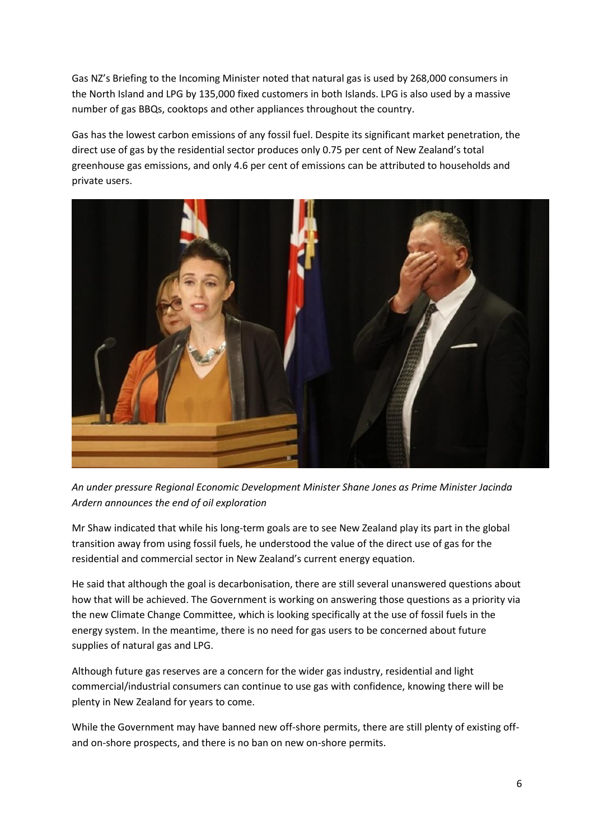Gas NZ's Briefing to the Incoming Minister noted that natural gas is used by 268,000 consumers in the North Island and LPG by 135,000 fixed customers in both Islands. LPG is also used by a massive number of gas BBQs, cooktops and other appliances throughout the country.

Gas has the lowest carbon emissions of any fossil fuel. Despite its significant market penetration, the direct use of gas by the residential sector produces only 0.75 per cent of New Zealand's total greenhouse gas emissions, and only 4.6 per cent of emissions can be attributed to households and private users.



*An under pressure Regional Economic Development Minister Shane Jones as Prime Minister Jacinda Ardern announces the end of oil exploration*

Mr Shaw indicated that while his long-term goals are to see New Zealand play its part in the global transition away from using fossil fuels, he understood the value of the direct use of gas for the residential and commercial sector in New Zealand's current energy equation.

He said that although the goal is decarbonisation, there are still several unanswered questions about how that will be achieved. The Government is working on answering those questions as a priority via the new Climate Change Committee, which is looking specifically at the use of fossil fuels in the energy system. In the meantime, there is no need for gas users to be concerned about future supplies of natural gas and LPG.

Although future gas reserves are a concern for the wider gas industry, residential and light commercial/industrial consumers can continue to use gas with confidence, knowing there will be plenty in New Zealand for years to come.

While the Government may have banned new off-shore permits, there are still plenty of existing offand on-shore prospects, and there is no ban on new on-shore permits.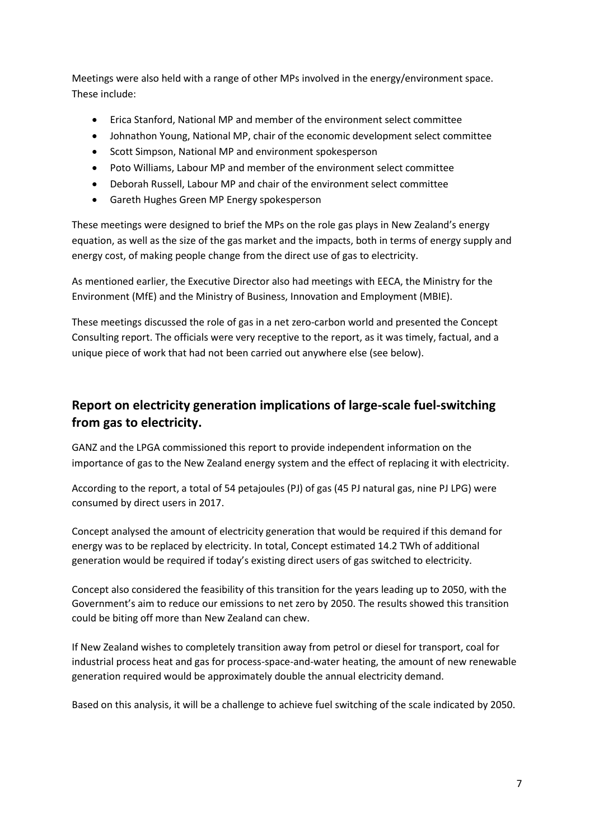Meetings were also held with a range of other MPs involved in the energy/environment space. These include:

- Erica Stanford, National MP and member of the environment select committee
- Johnathon Young, National MP, chair of the economic development select committee
- Scott Simpson, National MP and environment spokesperson
- Poto Williams, Labour MP and member of the environment select committee
- Deborah Russell, Labour MP and chair of the environment select committee
- Gareth Hughes Green MP Energy spokesperson

These meetings were designed to brief the MPs on the role gas plays in New Zealand's energy equation, as well as the size of the gas market and the impacts, both in terms of energy supply and energy cost, of making people change from the direct use of gas to electricity.

As mentioned earlier, the Executive Director also had meetings with EECA, the Ministry for the Environment (MfE) and the Ministry of Business, Innovation and Employment (MBIE).

These meetings discussed the role of gas in a net zero-carbon world and presented the Concept Consulting report. The officials were very receptive to the report, as it was timely, factual, and a unique piece of work that had not been carried out anywhere else (see below).

# **Report on electricity generation implications of large-scale fuel-switching from gas to electricity.**

GANZ and the LPGA commissioned this report to provide independent information on the importance of gas to the New Zealand energy system and the effect of replacing it with electricity.

According to the report, a total of 54 petajoules (PJ) of gas (45 PJ natural gas, nine PJ LPG) were consumed by direct users in 2017.

Concept analysed the amount of electricity generation that would be required if this demand for energy was to be replaced by electricity. In total, Concept estimated 14.2 TWh of additional generation would be required if today's existing direct users of gas switched to electricity.

Concept also considered the feasibility of this transition for the years leading up to 2050, with the Government's aim to reduce our emissions to net zero by 2050. The results showed this transition could be biting off more than New Zealand can chew.

If New Zealand wishes to completely transition away from petrol or diesel for transport, coal for industrial process heat and gas for process-space-and-water heating, the amount of new renewable generation required would be approximately double the annual electricity demand.

Based on this analysis, it will be a challenge to achieve fuel switching of the scale indicated by 2050.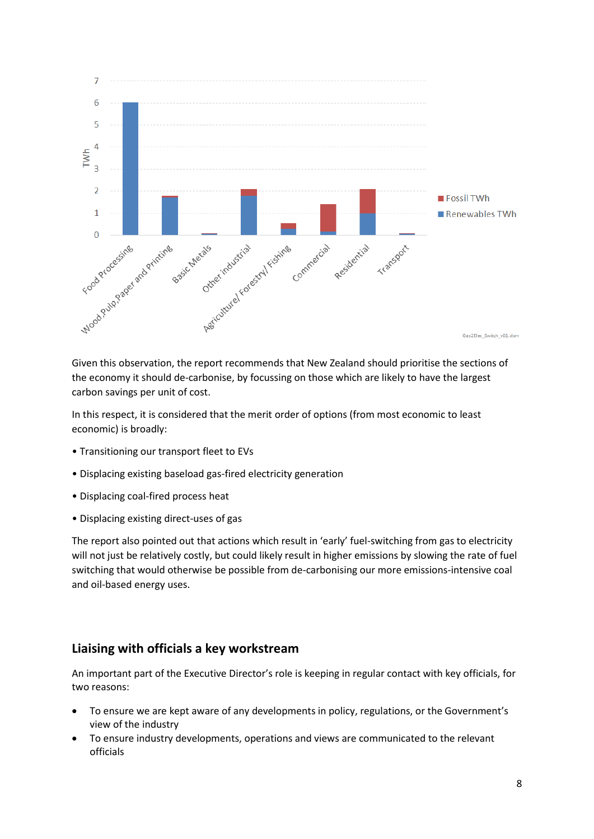

Given this observation, the report recommends that New Zealand should prioritise the sections of the economy it should de-carbonise, by focussing on those which are likely to have the largest carbon savings per unit of cost.

In this respect, it is considered that the merit order of options (from most economic to least economic) is broadly:

- Transitioning our transport fleet to EVs
- Displacing existing baseload gas-fired electricity generation
- Displacing coal-fired process heat
- Displacing existing direct-uses of gas

The report also pointed out that actions which result in 'early' fuel-switching from gas to electricity will not just be relatively costly, but could likely result in higher emissions by slowing the rate of fuel switching that would otherwise be possible from de-carbonising our more emissions-intensive coal and oil-based energy uses.

#### **Liaising with officials a key workstream**

An important part of the Executive Director's role is keeping in regular contact with key officials, for two reasons:

- To ensure we are kept aware of any developments in policy, regulations, or the Government's view of the industry
- To ensure industry developments, operations and views are communicated to the relevant officials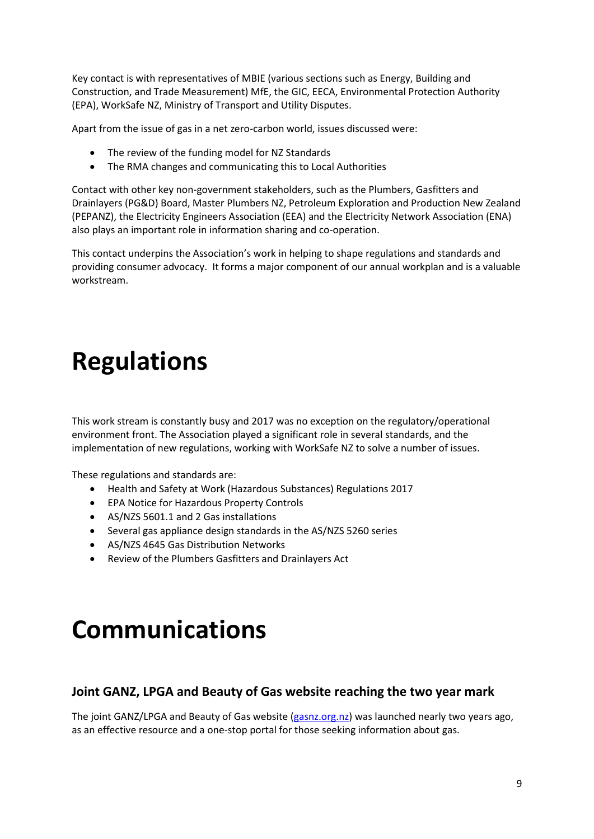Key contact is with representatives of MBIE (various sections such as Energy, Building and Construction, and Trade Measurement) MfE, the GIC, EECA, Environmental Protection Authority (EPA), WorkSafe NZ, Ministry of Transport and Utility Disputes.

Apart from the issue of gas in a net zero-carbon world, issues discussed were:

- The review of the funding model for NZ Standards
- The RMA changes and communicating this to Local Authorities

Contact with other key non-government stakeholders, such as the Plumbers, Gasfitters and Drainlayers (PG&D) Board, Master Plumbers NZ, Petroleum Exploration and Production New Zealand (PEPANZ), the Electricity Engineers Association (EEA) and the Electricity Network Association (ENA) also plays an important role in information sharing and co-operation.

This contact underpins the Association's work in helping to shape regulations and standards and providing consumer advocacy. It forms a major component of our annual workplan and is a valuable workstream.

# **Regulations**

This work stream is constantly busy and 2017 was no exception on the regulatory/operational environment front. The Association played a significant role in several standards, and the implementation of new regulations, working with WorkSafe NZ to solve a number of issues.

These regulations and standards are:

- Health and Safety at Work (Hazardous Substances) Regulations 2017
- EPA Notice for Hazardous Property Controls
- AS/NZS 5601.1 and 2 Gas installations
- Several gas appliance design standards in the AS/NZS 5260 series
- AS/NZS 4645 Gas Distribution Networks
- Review of the Plumbers Gasfitters and Drainlayers Act

# **Communications**

#### **Joint GANZ, LPGA and Beauty of Gas website reaching the two year mark**

The joint GANZ/LPGA and Beauty of Gas website [\(gasnz.org.nz\)](http://www.thebeautyofgas.co.nz/) was launched nearly two years ago, as an effective resource and a one-stop portal for those seeking information about gas.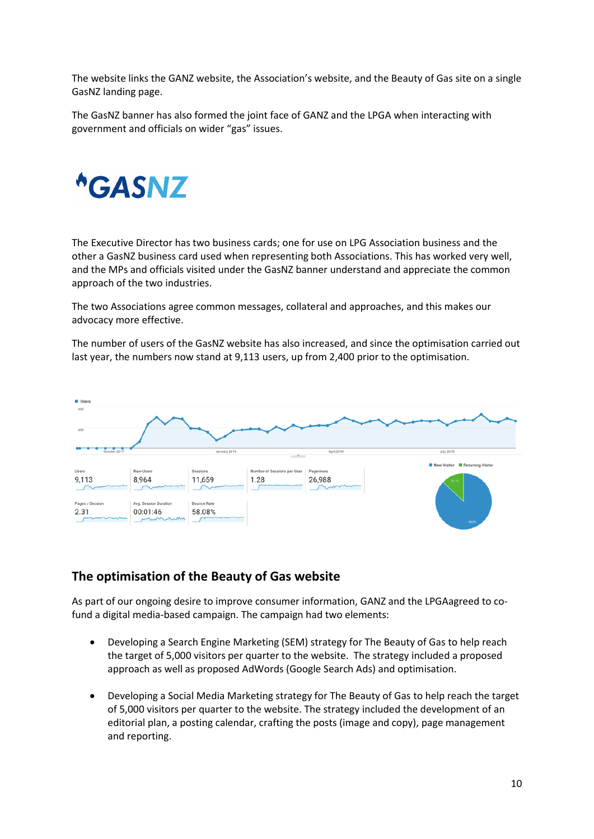The website links the GANZ website, the Association's website, and the Beauty of Gas site on a single GasNZ landing page.

The GasNZ banner has also formed the joint face of GANZ and the LPGA when interacting with government and officials on wider "gas" issues.



The Executive Director has two business cards; one for use on LPG Association business and the other a GasNZ business card used when representing both Associations. This has worked very well, and the MPs and officials visited under the GasNZ banner understand and appreciate the common approach of the two industries.

The two Associations agree common messages, collateral and approaches, and this makes our advocacy more effective.

The number of users of the GasNZ website has also increased, and since the optimisation carried out last year, the numbers now stand at 9,113 users, up from 2,400 prior to the optimisation.



#### **The optimisation of the Beauty of Gas website**

As part of our ongoing desire to improve consumer information, GANZ and the LPGAagreed to cofund a digital media-based campaign. The campaign had two elements:

- Developing a Search Engine Marketing (SEM) strategy for The Beauty of Gas to help reach the target of 5,000 visitors per quarter to the website. The strategy included a proposed approach as well as proposed AdWords (Google Search Ads) and optimisation.
- Developing a Social Media Marketing strategy for The Beauty of Gas to help reach the target of 5,000 visitors per quarter to the website. The strategy included the development of an editorial plan, a posting calendar, crafting the posts (image and copy), page management and reporting.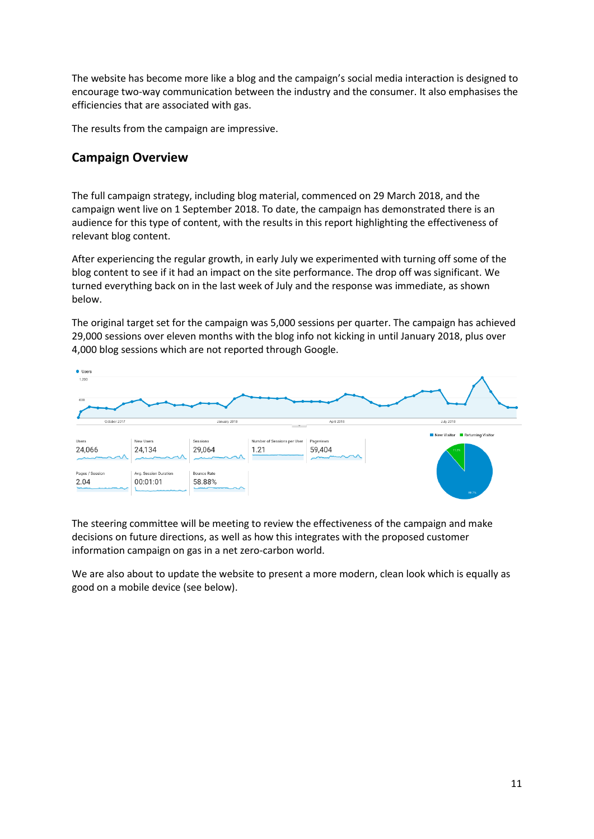The website has become more like a blog and the campaign's social media interaction is designed to encourage two-way communication between the industry and the consumer. It also emphasises the efficiencies that are associated with gas.

The results from the campaign are impressive.

#### **Campaign Overview**

The full campaign strategy, including blog material, commenced on 29 March 2018, and the campaign went live on 1 September 2018. To date, the campaign has demonstrated there is an audience for this type of content, with the results in this report highlighting the effectiveness of relevant blog content.

After experiencing the regular growth, in early July we experimented with turning off some of the blog content to see if it had an impact on the site performance. The drop off was significant. We turned everything back on in the last week of July and the response was immediate, as shown below.

The original target set for the campaign was 5,000 sessions per quarter. The campaign has achieved 29,000 sessions over eleven months with the blog info not kicking in until January 2018, plus over 4,000 blog sessions which are not reported through Google.



The steering committee will be meeting to review the effectiveness of the campaign and make decisions on future directions, as well as how this integrates with the proposed customer information campaign on gas in a net zero-carbon world.

We are also about to update the website to present a more modern, clean look which is equally as good on a mobile device (see below).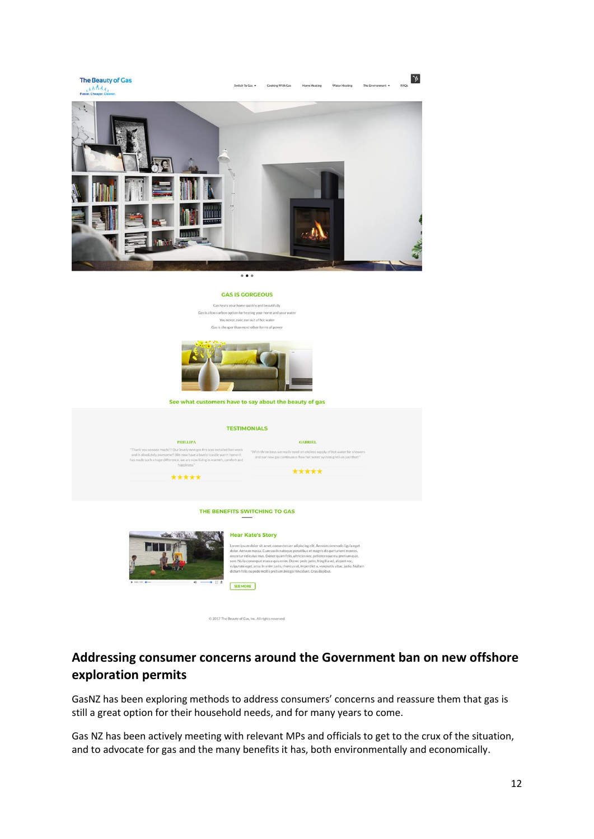

### **Addressing consumer concerns around the Government ban on new offshore exploration permits**

GasNZ has been exploring methods to address consumers' concerns and reassure them that gas is still a great option for their household needs, and for many years to come.

Gas NZ has been actively meeting with relevant MPs and officials to get to the crux of the situation, and to advocate for gas and the many benefits it has, both environmentally and economically.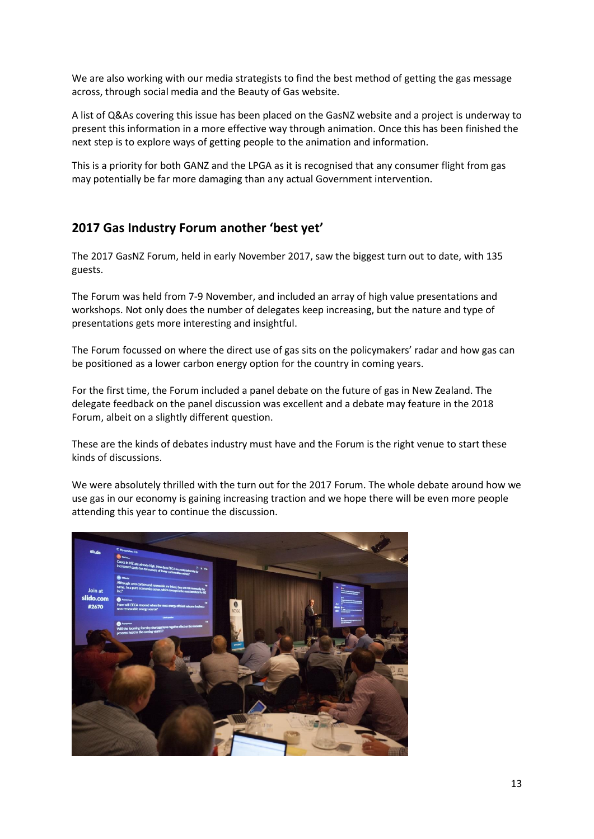We are also working with our media strategists to find the best method of getting the gas message across, through social media and the Beauty of Gas website.

A list of Q&As covering this issue has been placed on the GasNZ website and a project is underway to present this information in a more effective way through animation. Once this has been finished the next step is to explore ways of getting people to the animation and information.

This is a priority for both GANZ and the LPGA as it is recognised that any consumer flight from gas may potentially be far more damaging than any actual Government intervention.

### **2017 Gas Industry Forum another 'best yet'**

The 2017 GasNZ Forum, held in early November 2017, saw the biggest turn out to date, with 135 guests.

The Forum was held from 7-9 November, and included an array of high value presentations and workshops. Not only does the number of delegates keep increasing, but the nature and type of presentations gets more interesting and insightful.

The Forum focussed on where the direct use of gas sits on the policymakers' radar and how gas can be positioned as a lower carbon energy option for the country in coming years.

For the first time, the Forum included a panel debate on the future of gas in New Zealand. The delegate feedback on the panel discussion was excellent and a debate may feature in the 2018 Forum, albeit on a slightly different question.

These are the kinds of debates industry must have and the Forum is the right venue to start these kinds of discussions.

We were absolutely thrilled with the turn out for the 2017 Forum. The whole debate around how we use gas in our economy is gaining increasing traction and we hope there will be even more people attending this year to continue the discussion.

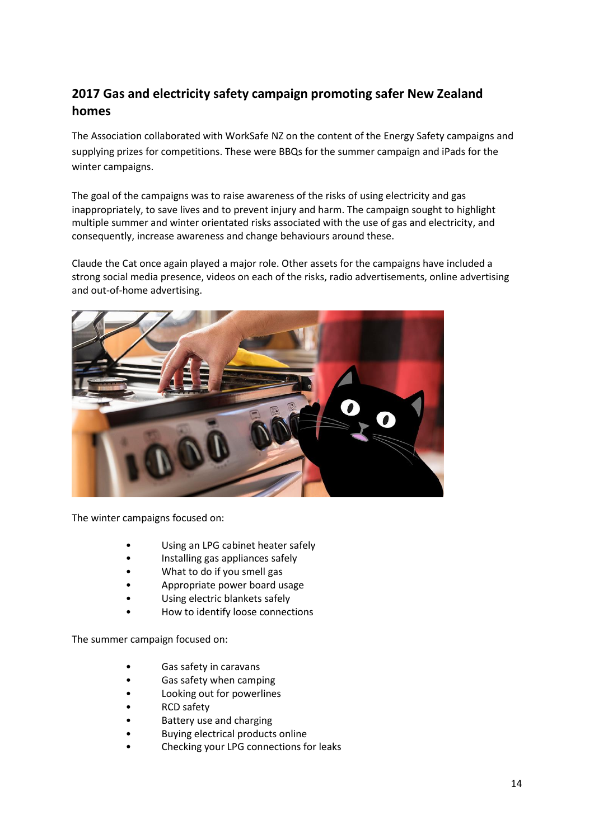## **2017 Gas and electricity safety campaign promoting safer New Zealand homes**

The Association collaborated with WorkSafe NZ on the content of the Energy Safety campaigns and supplying prizes for competitions. These were BBQs for the summer campaign and iPads for the winter campaigns.

The goal of the campaigns was to raise awareness of the risks of using electricity and gas inappropriately, to save lives and to prevent injury and harm. The campaign sought to highlight multiple summer and winter orientated risks associated with the use of gas and electricity, and consequently, increase awareness and change behaviours around these.

Claude the Cat once again played a major role. Other assets for the campaigns have included a strong social media presence, videos on each of the risks, radio advertisements, online advertising and out-of-home advertising.



The winter campaigns focused on:

- Using an LPG cabinet heater safely
- Installing gas appliances safely
- What to do if you smell gas
- Appropriate power board usage
- Using electric blankets safely
- How to identify loose connections

The summer campaign focused on:

- Gas safety in caravans
- Gas safety when camping
- Looking out for powerlines
- RCD safety
- Battery use and charging
- Buying electrical products online
- Checking your LPG connections for leaks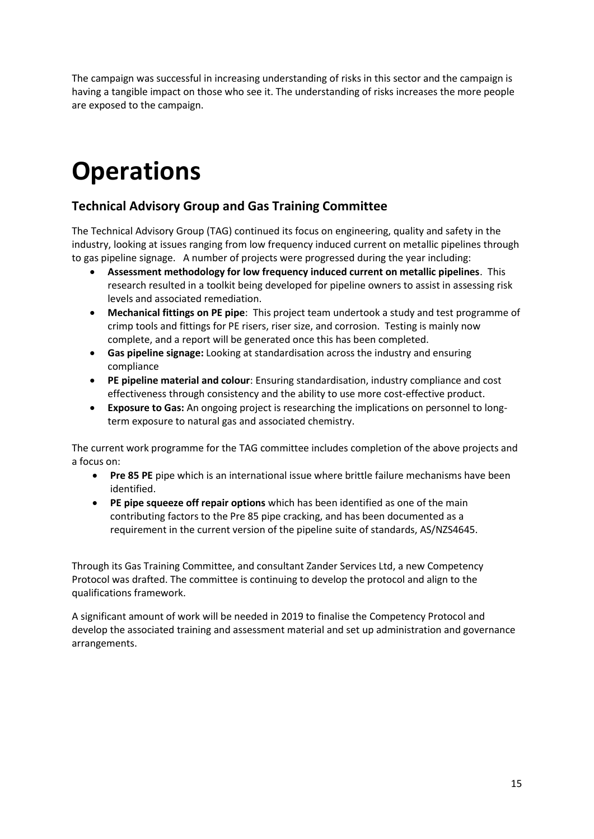The campaign was successful in increasing understanding of risks in this sector and the campaign is having a tangible impact on those who see it. The understanding of risks increases the more people are exposed to the campaign.

# **Operations**

### **Technical Advisory Group and Gas Training Committee**

The Technical Advisory Group (TAG) continued its focus on engineering, quality and safety in the industry, looking at issues ranging from low frequency induced current on metallic pipelines through to gas pipeline signage. A number of projects were progressed during the year including:

- **Assessment methodology for low frequency induced current on metallic pipelines**. This research resulted in a toolkit being developed for pipeline owners to assist in assessing risk levels and associated remediation.
- **Mechanical fittings on PE pipe**: This project team undertook a study and test programme of crimp tools and fittings for PE risers, riser size, and corrosion. Testing is mainly now complete, and a report will be generated once this has been completed.
- **Gas pipeline signage:** Looking at standardisation across the industry and ensuring compliance
- **PE pipeline material and colour**: Ensuring standardisation, industry compliance and cost effectiveness through consistency and the ability to use more cost-effective product.
- **Exposure to Gas:** An ongoing project is researching the implications on personnel to longterm exposure to natural gas and associated chemistry.

The current work programme for the TAG committee includes completion of the above projects and a focus on:

- **Pre 85 PE** pipe which is an international issue where brittle failure mechanisms have been identified.
- **PE pipe squeeze off repair options** which has been identified as one of the main contributing factors to the Pre 85 pipe cracking, and has been documented as a requirement in the current version of the pipeline suite of standards, AS/NZS4645.

Through its Gas Training Committee, and consultant Zander Services Ltd, a new Competency Protocol was drafted. The committee is continuing to develop the protocol and align to the qualifications framework.

A significant amount of work will be needed in 2019 to finalise the Competency Protocol and develop the associated training and assessment material and set up administration and governance arrangements.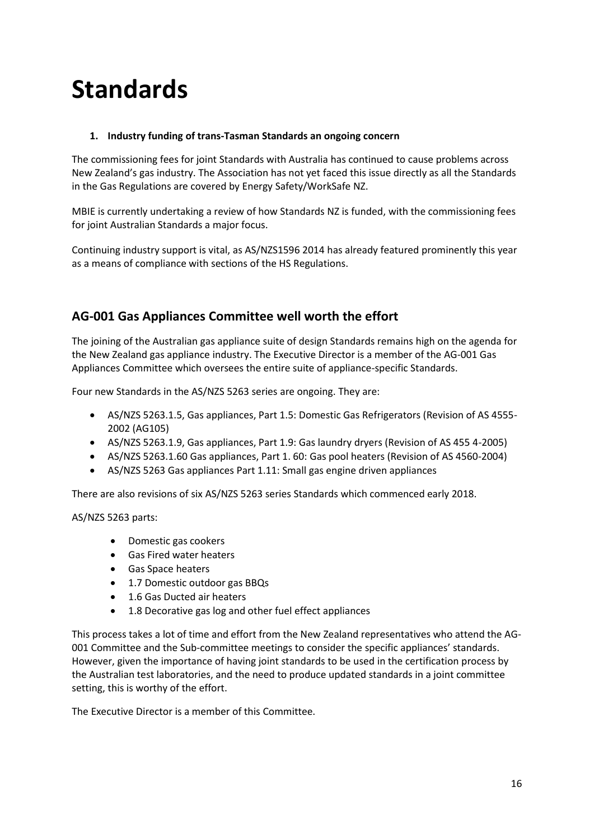# **Standards**

#### **1. Industry funding of trans-Tasman Standards an ongoing concern**

The commissioning fees for joint Standards with Australia has continued to cause problems across New Zealand's gas industry. The Association has not yet faced this issue directly as all the Standards in the Gas Regulations are covered by Energy Safety/WorkSafe NZ.

MBIE is currently undertaking a review of how Standards NZ is funded, with the commissioning fees for joint Australian Standards a major focus.

Continuing industry support is vital, as AS/NZS1596 2014 has already featured prominently this year as a means of compliance with sections of the HS Regulations.

## **AG-001 Gas Appliances Committee well worth the effort**

The joining of the Australian gas appliance suite of design Standards remains high on the agenda for the New Zealand gas appliance industry. The Executive Director is a member of the AG-001 Gas Appliances Committee which oversees the entire suite of appliance-specific Standards.

Four new Standards in the AS/NZS 5263 series are ongoing. They are:

- AS/NZS 5263.1.5, Gas appliances, Part 1.5: Domestic Gas Refrigerators (Revision of AS 4555- 2002 (AG105)
- AS/NZS 5263.1.9, Gas appliances, Part 1.9: Gas laundry dryers (Revision of AS 455 4-2005)
- AS/NZS 5263.1.60 Gas appliances, Part 1. 60: Gas pool heaters (Revision of AS 4560-2004)
- AS/NZS 5263 Gas appliances Part 1.11: Small gas engine driven appliances

There are also revisions of six AS/NZS 5263 series Standards which commenced early 2018.

AS/NZS 5263 parts:

- Domestic gas cookers
- Gas Fired water heaters
- Gas Space heaters
- 1.7 Domestic outdoor gas BBQs
- 1.6 Gas Ducted air heaters
- 1.8 Decorative gas log and other fuel effect appliances

This process takes a lot of time and effort from the New Zealand representatives who attend the AG-001 Committee and the Sub-committee meetings to consider the specific appliances' standards. However, given the importance of having joint standards to be used in the certification process by the Australian test laboratories, and the need to produce updated standards in a joint committee setting, this is worthy of the effort.

The Executive Director is a member of this Committee.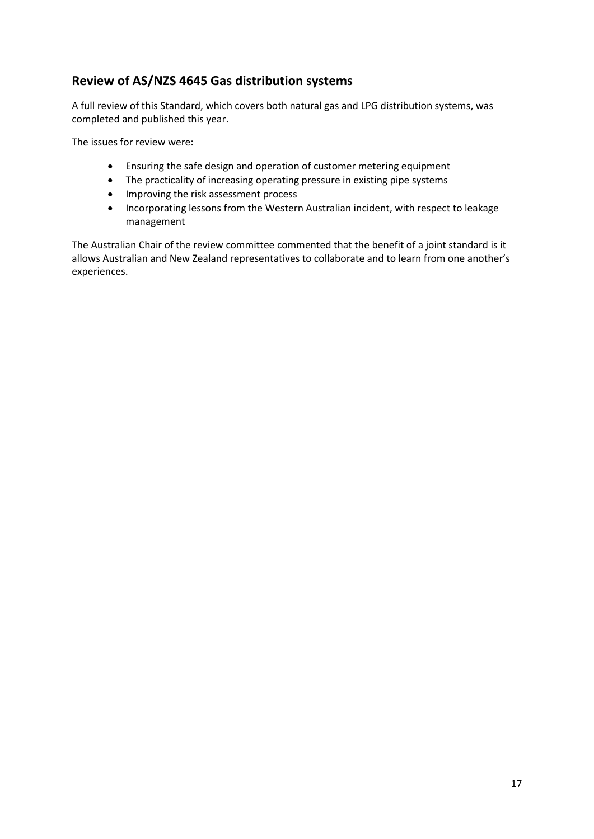### **Review of AS/NZS 4645 Gas distribution systems**

A full review of this Standard, which covers both natural gas and LPG distribution systems, was completed and published this year.

The issues for review were:

- Ensuring the safe design and operation of customer metering equipment
- The practicality of increasing operating pressure in existing pipe systems
- Improving the risk assessment process
- Incorporating lessons from the Western Australian incident, with respect to leakage management

The Australian Chair of the review committee commented that the benefit of a joint standard is it allows Australian and New Zealand representatives to collaborate and to learn from one another's experiences.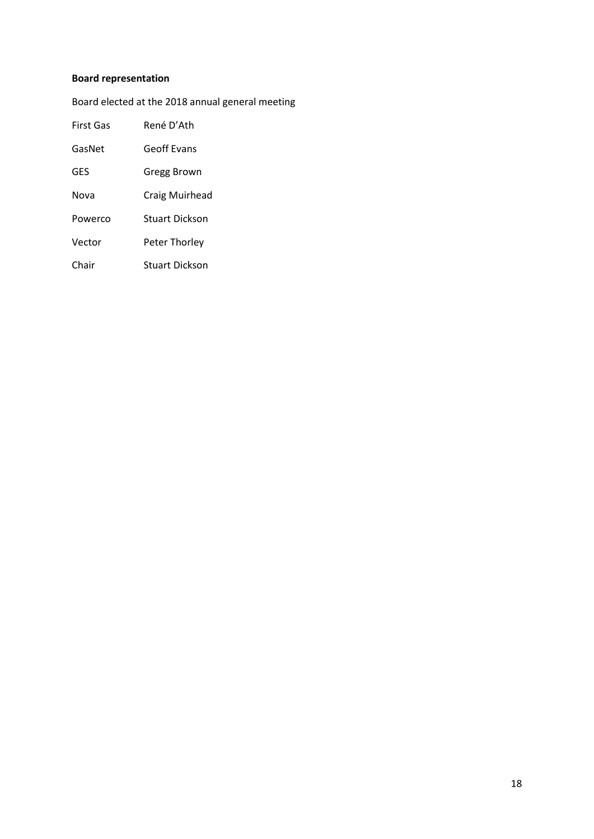#### **Board representation**

Board elected at the 2018 annual general meeting

| <b>First Gas</b> | René D'Ath            |  |
|------------------|-----------------------|--|
| GasNet           | Geoff Evans           |  |
| GES              | Gregg Brown           |  |
| Nova             | Craig Muirhead        |  |
| Powerco          | <b>Stuart Dickson</b> |  |
| Vector           | Peter Thorley         |  |
| Chair            | <b>Stuart Dickson</b> |  |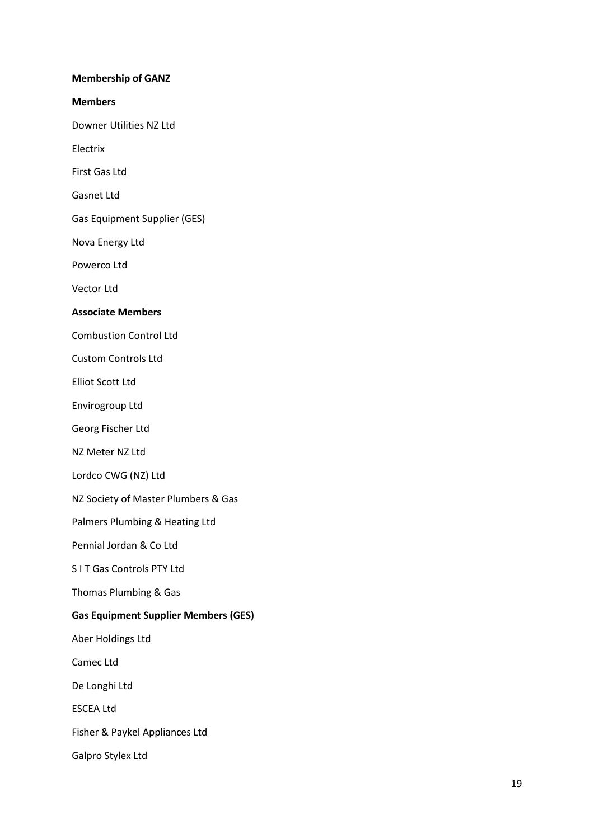#### **Membership of GANZ**

**Members**

Downer Utilities NZ Ltd

Electrix

First Gas Ltd

Gasnet Ltd

Gas Equipment Supplier (GES)

Nova Energy Ltd

Powerco Ltd

Vector Ltd

#### **Associate Members**

Combustion Control Ltd

Custom Controls Ltd

Elliot Scott Ltd

Envirogroup Ltd

Georg Fischer Ltd

NZ Meter NZ Ltd

Lordco CWG (NZ) Ltd

NZ Society of Master Plumbers & Gas

Palmers Plumbing & Heating Ltd

Pennial Jordan & Co Ltd

S I T Gas Controls PTY Ltd

Thomas Plumbing & Gas

#### **Gas Equipment Supplier Members (GES)**

Aber Holdings Ltd

Camec Ltd

De Longhi Ltd

ESCEA Ltd

Fisher & Paykel Appliances Ltd

Galpro Stylex Ltd